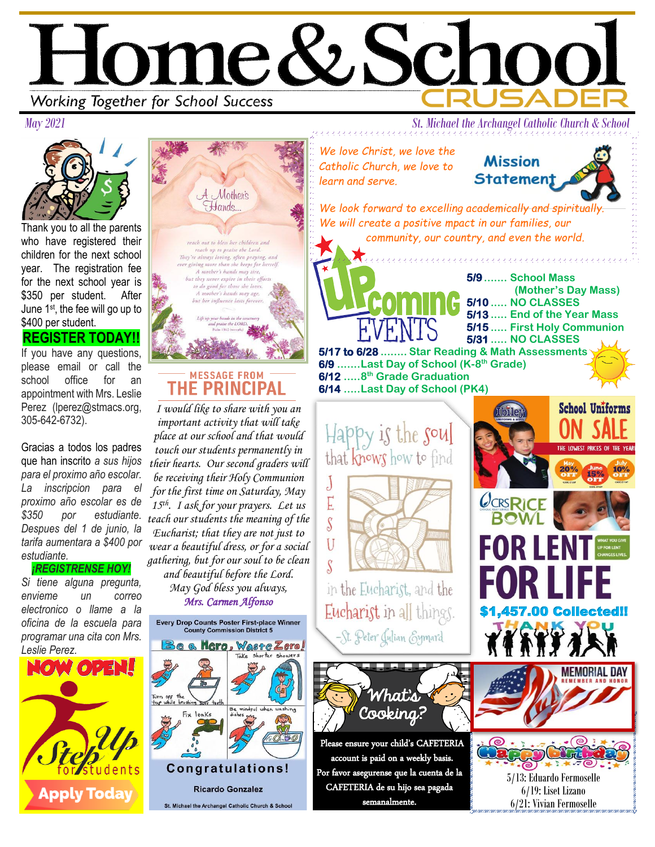



Thank you to all the parents who have registered their children for the next school year. The registration fee for the next school year is \$350 per student. After June 1st, the fee will go up to \$400 per student.

## **REGISTER TODAY!!**

If you have any questions, please email or call the school office for an appointment with Mrs. Leslie Perez (lperez@stmacs.org, 305-642-6732).

Gracias a todos los padres que han inscrito *a sus hijos para el proximo año escolar. La inscripcion para el proximo año escolar es de \$350 por estudiante. Despues del 1 de junio, la tarifa aumentara a \$400 por estudiante.* 

## *¡REGISTRENSE HOY!*

*Si tiene alguna pregunta, envieme un correo electronico o llame a la oficina de la escuela para programar una cita con Mrs. Leslie Perez.* 





## **MESSAGE FROM** THE PRINCIPAL

*I would like to share with you an important activity that will take place at our school and that would touch our students permanently in their hearts. Our second graders will be receiving their Holy Communion for the first time on Saturday, May 15th. I ask for your prayers. Let us teach our students the meaning of the Eucharist; that they are not just to wear a beautiful dress, or for a social gathering, but for our soul to be clean and beautiful before the Lord. May God bless you always, Mrs. Carmen Alfonso* 

 Congratulations! **Ricardo Gonzalez** St. Michael the Archangel Catholic Church & School

**Mission** *Catholic Church, we love to*  **Statement** *learn and serve.*

*We look forward to excelling academically and spiritually.*

,,,,,,,,,,,,,,,,,,,,,,,,,,,,,,

*We will create a positive mpact in our families, our community, our country, and even the world.*

**5/9....... School Mass (Mother's Day Mass) 5/10 ..... NO CLASSES 5/13 ..... End of the Year Mass 5/15 ..... First Holy Communion 5/31 ..... NO CLASSES 5/17 to 6/28 ........ Star Reading & Math Assessments 6/9 .......Last Day of School (K-8 th Grade) 6/12 .....8 th Grade Graduation**

**6/14 .....Last Day of School (PK4)**



in the Eucharist, and the Eucharist in all things. -St. Peter Julian Eymard



Please ensure your child's CAFETERIA account is paid on a weekly basis. Por favor asegurense que la cuenta de la CAFETERIA de su hijo sea pagada semanalmente.